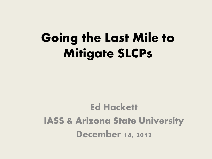# Going the Last Mile to Mitigate SLCPs

## Ed Hackett IASS & Arizona State University December 14, 2012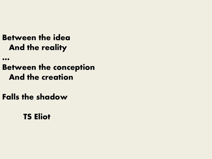#### **Between the idea And the reality**

**…**

#### **Between the conception And the creation**

**Falls the shadow**

#### **TS Eliot**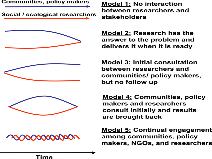Communities, policy makers

Social / ecological researchers



**xxxxxxxxxx** 

**Model 1: No interaction** between researchers and stakeholders

**Model 2: Research has the** answer to the problem and delivers it when it is ready

**Model 3: Initial consultation** between researchers and communities/ policy makers, but no follow up

**Model 4: Communities, policy** makers and researchers consult initially and results are brought back

<u> Model 5:</u> Continual engagement among communities, policy makers, NGOs, and researchers

Time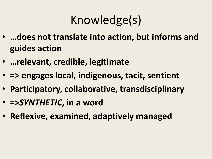# Knowledge(s)

- **…does not translate into action, but informs and guides action**
- **…relevant, credible, legitimate**
- **=> engages local, indigenous, tacit, sentient**
- **Participatory, collaborative, transdisciplinary**
- **=>***SYNTHETIC***, in a word**
- **Reflexive, examined, adaptively managed**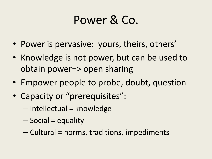## Power & Co.

- Power is pervasive: yours, theirs, others'
- Knowledge is not power, but can be used to obtain power=> open sharing
- Empower people to probe, doubt, question
- Capacity or "prerequisites":
	- Intellectual = knowledge
	- Social = equality
	- Cultural = norms, traditions, impediments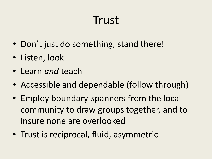## Trust

- Don't just do something, stand there!
- Listen, look
- Learn *and* teach
- Accessible and dependable (follow through)
- Employ boundary-spanners from the local community to draw groups together, and to insure none are overlooked
- Trust is reciprocal, fluid, asymmetric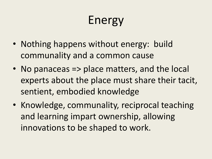# Energy

- Nothing happens without energy: build communality and a common cause
- No panaceas => place matters, and the local experts about the place must share their tacit, sentient, embodied knowledge
- Knowledge, communality, reciprocal teaching and learning impart ownership, allowing innovations to be shaped to work.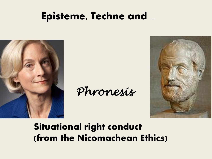### **Episteme, Techne and ...**



Phronesis



### **Situational right conduct** (from the Nicomachean Ethics)